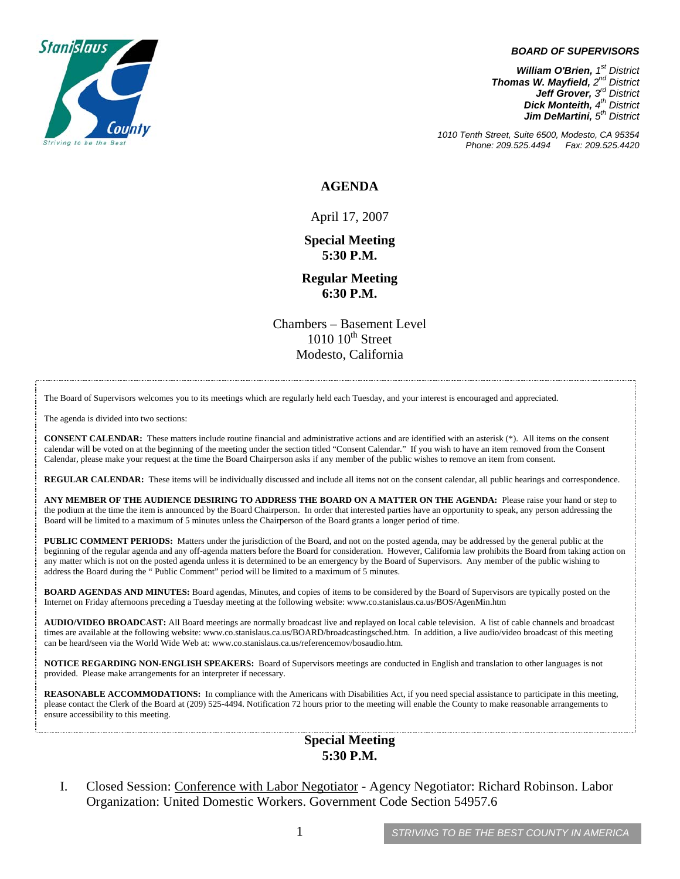

#### *BOARD OF SUPERVISORS*

*William O'Brien, 1<sup>st</sup> District Thomas W. Mayfield, 2nd District Jeff Grover, 3rd District Dick Monteith, 4<sup>th</sup> District Jim DeMartini, 5th District*

*1010 Tenth Street, Suite 6500, Modesto, CA 95354 Phone: 209.525.4494 Fax: 209.525.4420*

## **AGENDA**

April 17, 2007

**Special Meeting 5:30 P.M.** 

**Regular Meeting 6:30 P.M.**

Chambers – Basement Level  $1010$   $10^{th}$  Street Modesto, California

The Board of Supervisors welcomes you to its meetings which are regularly held each Tuesday, and your interest is encouraged and appreciated.

The agenda is divided into two sections:

**CONSENT CALENDAR:** These matters include routine financial and administrative actions and are identified with an asterisk (\*). All items on the consent calendar will be voted on at the beginning of the meeting under the section titled "Consent Calendar." If you wish to have an item removed from the Consent Calendar, please make your request at the time the Board Chairperson asks if any member of the public wishes to remove an item from consent.

**REGULAR CALENDAR:** These items will be individually discussed and include all items not on the consent calendar, all public hearings and correspondence.

**ANY MEMBER OF THE AUDIENCE DESIRING TO ADDRESS THE BOARD ON A MATTER ON THE AGENDA:** Please raise your hand or step to the podium at the time the item is announced by the Board Chairperson. In order that interested parties have an opportunity to speak, any person addressing the Board will be limited to a maximum of 5 minutes unless the Chairperson of the Board grants a longer period of time.

**PUBLIC COMMENT PERIODS:** Matters under the jurisdiction of the Board, and not on the posted agenda, may be addressed by the general public at the beginning of the regular agenda and any off-agenda matters before the Board for consideration. However, California law prohibits the Board from taking action on any matter which is not on the posted agenda unless it is determined to be an emergency by the Board of Supervisors. Any member of the public wishing to address the Board during the " Public Comment" period will be limited to a maximum of 5 minutes.

**BOARD AGENDAS AND MINUTES:** Board agendas, Minutes, and copies of items to be considered by the Board of Supervisors are typically posted on the Internet on Friday afternoons preceding a Tuesday meeting at the following website: [www.co.stanislaus.ca.us/BOS/AgenMin.htm](http://www.co.stanislaus.ca.us/BOS/AgenMin.htm) 

**AUDIO/VIDEO BROADCAST:** All Board meetings are normally broadcast live and replayed on local cable television. A list of cable channels and broadcast times are available at the following website: [www.co.stanislaus.ca.us/BOARD/broadcastingsched.htm](http://www.co.stanislaus.ca.us/BOARD/broadcastingsched.htm). In addition, a live audio/video broadcast of this meeting can be heard/seen via the World Wide Web at: [www.co.stanislaus.ca.us/referencemov/bosaudio.htm.](http://www.co.stanislaus.ca.us/referencemov/bosaudio.htm)

**NOTICE REGARDING NON-ENGLISH SPEAKERS:** Board of Supervisors meetings are conducted in English and translation to other languages is not provided. Please make arrangements for an interpreter if necessary.

**REASONABLE ACCOMMODATIONS:** In compliance with the Americans with Disabilities Act, if you need special assistance to participate in this meeting, please contact the Clerk of the Board at (209) 525-4494. Notification 72 hours prior to the meeting will enable the County to make reasonable arrangements to ensure accessibility to this meeting.

## **Special Meeting 5:30 P.M.**

I. Closed Session: Conference with Labor Negotiator - Agency Negotiator: Richard Robinson. Labor Organization: United Domestic Workers. Government Code Section 54957.6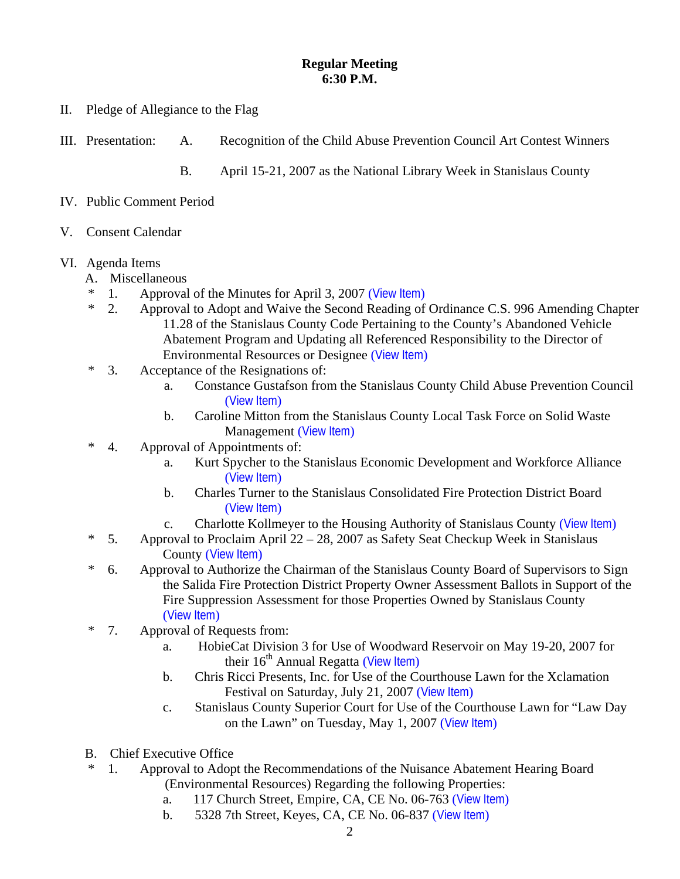# **Regular Meeting 6:30 P.M.**

- II. Pledge of Allegiance to the Flag
- III. Presentation: A. Recognition of the Child Abuse Prevention Council Art Contest Winners

B. April 15-21, 2007 as the National Library Week in Stanislaus County

## IV. Public Comment Period

V. Consent Calendar

## VI. Agenda Items

- A. Miscellaneous
- $*$  1. Approval of the Minutes for April 3, 2007 ([View Item](http://www.co.stanislaus.ca.us/bos/minutes/2007/min04-03-07.pdf))<br> $*$  2 Approval to Adopt and Waive the Second Reading of
	- 2. Approval to Adopt and Waive the Second Reading of Ordinance C.S. 996 Amending Chapter 11.28 of the Stanislaus County Code Pertaining to the County's Abandoned Vehicle Abatement Program and Updating all Referenced Responsibility to the Director of Environmental Resources or Designee ([View Item](http://www.co.stanislaus.ca.us/bos/agenda/2007/20070417/A02.pdf))
- \* 3. Acceptance of the Resignations of:
	- a. Constance Gustafson from the Stanislaus County Child Abuse Prevention Council ([View Item](http://www.co.stanislaus.ca.us/bos/agenda/2007/20070417/A03a.pdf))
	- b. Caroline Mitton from the Stanislaus County Local Task Force on Solid Waste Management ([View Item](http://www.co.stanislaus.ca.us/bos/agenda/2007/20070417/A03b.pdf))
- \* 4. Approval of Appointments of:
	- a. Kurt Spycher to the Stanislaus Economic Development and Workforce Alliance ([View Item](http://www.co.stanislaus.ca.us/bos/agenda/2007/20070417/A04a.pdf))
	- b. Charles Turner to the Stanislaus Consolidated Fire Protection District Board ([View Item](http://www.co.stanislaus.ca.us/bos/agenda/2007/20070417/A04b.pdf))
	- c. Charlotte Kollmeyer to the Housing Authority of Stanislaus County ([View Item](http://www.co.stanislaus.ca.us/bos/agenda/2007/20070417/A04c.pdf))
- \* 5. Approval to Proclaim April  $22 28$ , 2007 as Safety Seat Checkup Week in Stanislaus County ([View Item](http://www.co.stanislaus.ca.us/bos/agenda/2007/20070417/A05.pdf))
- \* 6. Approval to Authorize the Chairman of the Stanislaus County Board of Supervisors to Sign the Salida Fire Protection District Property Owner Assessment Ballots in Support of the Fire Suppression Assessment for those Properties Owned by Stanislaus County ([View Item](http://www.co.stanislaus.ca.us/bos/agenda/2007/20070417/A06.pdf))
- \* 7. Approval of Requests from:
	- a. HobieCat Division 3 for Use of Woodward Reservoir on May 19-20, 2007 for their  $16<sup>th</sup>$  Annual Regatta ([View Item](http://www.co.stanislaus.ca.us/bos/agenda/2007/20070417/A07a.pdf))
	- b. Chris Ricci Presents, Inc. for Use of the Courthouse Lawn for the Xclamation Festival on Saturday, July 21, 2007 ([View Item](http://www.co.stanislaus.ca.us/bos/agenda/2007/20070417/A07b.pdf))
	- c. Stanislaus County Superior Court for Use of the Courthouse Lawn for "Law Day on the Lawn" on Tuesday, May 1, 2007 ([View Item](http://www.co.stanislaus.ca.us/bos/agenda/2007/20070417/A07c.pdf))
- B. Chief Executive Office
- \* 1. Approval to Adopt the Recommendations of the Nuisance Abatement Hearing Board (Environmental Resources) Regarding the following Properties:
	- a. 117 Church Street, Empire, CA, CE No. 06-763 ([View Item](http://www.co.stanislaus.ca.us/bos/agenda/2007/20070417/B01a.pdf))
	- b. 5328 7th Street, Keyes, CA, CE No. 06-837 ([View Item](http://www.co.stanislaus.ca.us/bos/agenda/2007/20070417/B01b.pdf))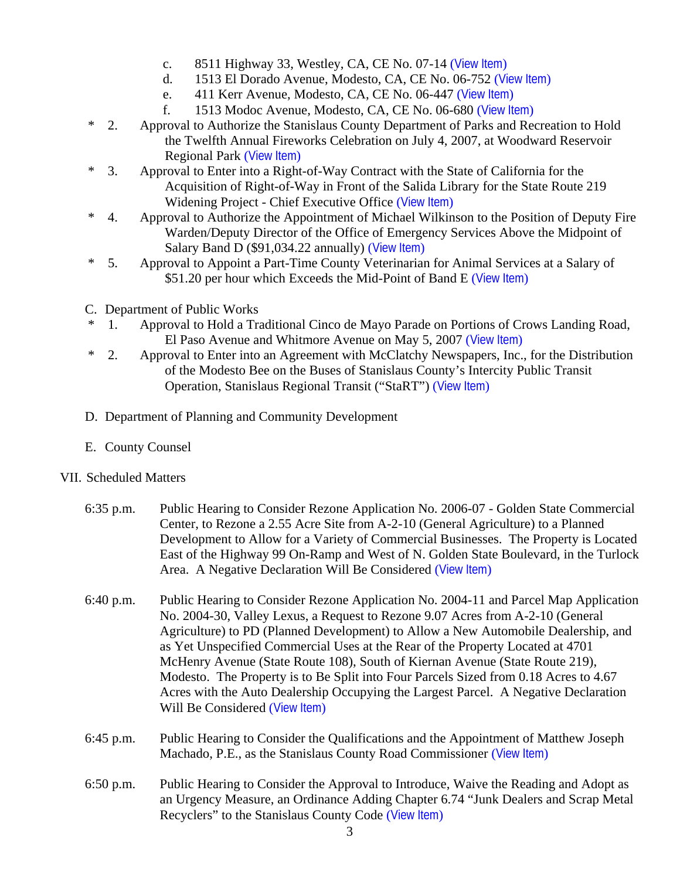- c.  $8511$  Highway 33, Westley, CA, CE No. 07-14 ([View Item](http://www.co.stanislaus.ca.us/bos/agenda/2007/20070417/B01c.pdf))
- d. 1513 El Dorado Avenue, Modesto, CA, CE No. 06-752 ([View Item](http://www.co.stanislaus.ca.us/bos/agenda/2007/20070417/B01d.pdf))
- e. 411 Kerr Avenue, Modesto, CA, CE No. 06-447 ([View Item](http://www.co.stanislaus.ca.us/bos/agenda/2007/20070417/B01e.pdf))
- f. 1513 Modoc Avenue, Modesto, CA, CE No. 06-680 ([View Item](http://www.co.stanislaus.ca.us/bos/agenda/2007/20070417/B01f.pdf))
- \* 2. Approval to Authorize the Stanislaus County Department of Parks and Recreation to Hold the Twelfth Annual Fireworks Celebration on July 4, 2007, at Woodward Reservoir Regional Park ([View Item](http://www.co.stanislaus.ca.us/bos/agenda/2007/20070417/B02.pdf))
- \* 3. Approval to Enter into a Right-of-Way Contract with the State of California for the Acquisition of Right-of-Way in Front of the Salida Library for the State Route 219 Widening Project - Chief Executive Office ([View Item](http://www.co.stanislaus.ca.us/bos/agenda/2007/20070417/B03.pdf))
- \* 4. Approval to Authorize the Appointment of Michael Wilkinson to the Position of Deputy Fire Warden/Deputy Director of the Office of Emergency Services Above the Midpoint of Salary Band D  $(\$91,034.22$  annually) ([View Item](http://www.co.stanislaus.ca.us/bos/agenda/2007/20070417/B04.pdf))
- \* 5. Approval to Appoint a Part-Time County Veterinarian for Animal Services at a Salary of \$51.20 per hour which Exceeds the Mid-Point of Band E ([View Item](http://www.co.stanislaus.ca.us/bos/agenda/2007/20070417/B05.pdf))
- C. Department of Public Works
- \* 1. Approval to Hold a Traditional Cinco de Mayo Parade on Portions of Crows Landing Road, El Paso Avenue and Whitmore Avenue on May 5, 2007 ([View Item](http://www.co.stanislaus.ca.us/bos/agenda/2007/20070417/C01.pdf))
- \* 2. Approval to Enter into an Agreement with McClatchy Newspapers, Inc., for the Distribution of the Modesto Bee on the Buses of Stanislaus County's Intercity Public Transit Operation, Stanislaus Regional Transit ("StaRT") ([View Item](http://www.co.stanislaus.ca.us/bos/agenda/2007/20070417/C02.pdf))
- D. Department of Planning and Community Development
- E. County Counsel

## VII. Scheduled Matters

- 6:35 p.m. Public Hearing to Consider Rezone Application No. 2006-07 Golden State Commercial Center, to Rezone a 2.55 Acre Site from A-2-10 (General Agriculture) to a Planned Development to Allow for a Variety of Commercial Businesses. The Property is Located East of the Highway 99 On-Ramp and West of N. Golden State Boulevard, in the Turlock Area. A Negative Declaration Will Be Considered ([View Item](http://www.co.stanislaus.ca.us/bos/agenda/2007/20070417/PH635.pdf)) 6:40 p.m. Public Hearing to Consider Rezone Application No. 2004-11 and Parcel Map Application No. 2004-30, Valley Lexus, a Request to Rezone 9.07 Acres from A-2-10 (General Agriculture) to PD (Planned Development) to Allow a New Automobile Dealership, and as Yet Unspecified Commercial Uses at the Rear of the Property Located at 4701 McHenry Avenue (State Route 108), South of Kiernan Avenue (State Route 219), Modesto. The Property is to Be Split into Four Parcels Sized from 0.18 Acres to 4.67 Acres with the Auto Dealership Occupying the Largest Parcel. A Negative Declaration Will Be Considered ([View Item](http://www.co.stanislaus.ca.us/bos/agenda/2007/20070417/PH640.pdf))
- 6:45 p.m. Public Hearing to Consider the Qualifications and the Appointment of Matthew Joseph Machado, P.E., as the Stanislaus County Road Commissioner ([View Item](http://www.co.stanislaus.ca.us/bos/agenda/2007/20070417/PH645.pdf))
- 6:50 p.m. Public Hearing to Consider the Approval to Introduce, Waive the Reading and Adopt as an Urgency Measure, an Ordinance Adding Chapter 6.74 "Junk Dealers and Scrap Metal Recyclers" to the Stanislaus County Code ([View Item](http://www.co.stanislaus.ca.us/bos/agenda/2007/20070417/PH650.pdf))